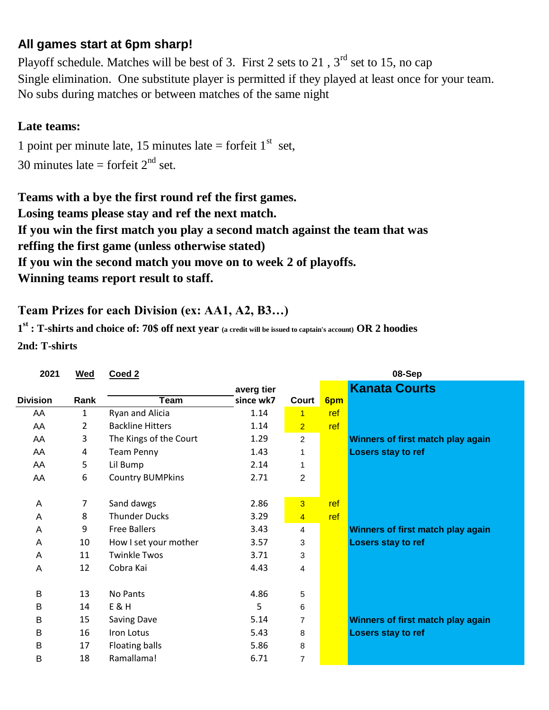## **All games start at 6pm sharp!**

No subs during matches or between matches of the same night Playoff schedule. Matches will be best of 3. First 2 sets to 21,  $3<sup>rd</sup>$  set to 15, no cap Single elimination. One substitute player is permitted if they played at least once for your team.

## **Late teams:**

30 minutes late = forfeit  $2<sup>nd</sup>$  set. 1 point per minute late, 15 minutes late = forfeit  $1<sup>st</sup>$  set,

**Teams with a bye the first round ref the first games. Losing teams please stay and ref the next match. If you win the first match you play a second match against the team that was reffing the first game (unless otherwise stated) If you win the second match you move on to week 2 of playoffs. Winning teams report result to staff.**

## **Team Prizes for each Division (ex: AA1, A2, B3…)**

**1 st : T-shirts and choice of: 70\$ off next year (a credit will be issued to captain's account) OR 2 hoodies 2nd: T-shirts**

| 2021            | <b>Wed</b> | Coed 2                  |            |                |     | 08-Sep                            |
|-----------------|------------|-------------------------|------------|----------------|-----|-----------------------------------|
|                 |            |                         | averg tier |                |     | <b>Kanata Courts</b>              |
| <b>Division</b> | Rank       | Team                    | since wk7  | Court          | 6pm |                                   |
| AA              | 1          | Ryan and Alicia         | 1.14       | 1              | ref |                                   |
| AA              | 2          | <b>Backline Hitters</b> | 1.14       | $\overline{2}$ | ref |                                   |
| AA              | 3          | The Kings of the Court  | 1.29       | $\overline{c}$ |     | Winners of first match play again |
| AA              | 4          | <b>Team Penny</b>       | 1.43       | 1              |     | Losers stay to ref                |
| AA              | 5          | Lil Bump                | 2.14       |                |     |                                   |
| AA              | 6          | <b>Country BUMPkins</b> | 2.71       | $\overline{2}$ |     |                                   |
|                 |            |                         |            |                |     |                                   |
| A               | 7          | Sand dawgs              | 2.86       | $\overline{3}$ | ref |                                   |
| A               | 8          | <b>Thunder Ducks</b>    | 3.29       | $\overline{4}$ | ref |                                   |
| A               | 9          | <b>Free Ballers</b>     | 3.43       | 4              |     | Winners of first match play again |
| A               | 10         | How I set your mother   | 3.57       | 3              |     | Losers stay to ref                |
| A               | 11         | <b>Twinkle Twos</b>     | 3.71       | 3              |     |                                   |
| A               | 12         | Cobra Kai               | 4.43       | 4              |     |                                   |
|                 |            |                         |            |                |     |                                   |
| B               | 13         | No Pants                | 4.86       | 5              |     |                                   |
| B               | 14         | <b>E&amp;H</b>          | 5          | 6              |     |                                   |
| в               | 15         | <b>Saving Dave</b>      | 5.14       | 7              |     | Winners of first match play again |
| B               | 16         | Iron Lotus              | 5.43       | 8              |     | Losers stay to ref                |
| B               | 17         | Floating balls          | 5.86       | 8              |     |                                   |
| Β               | 18         | Ramallama!              | 6.71       | $\overline{7}$ |     |                                   |
|                 |            |                         |            |                |     |                                   |